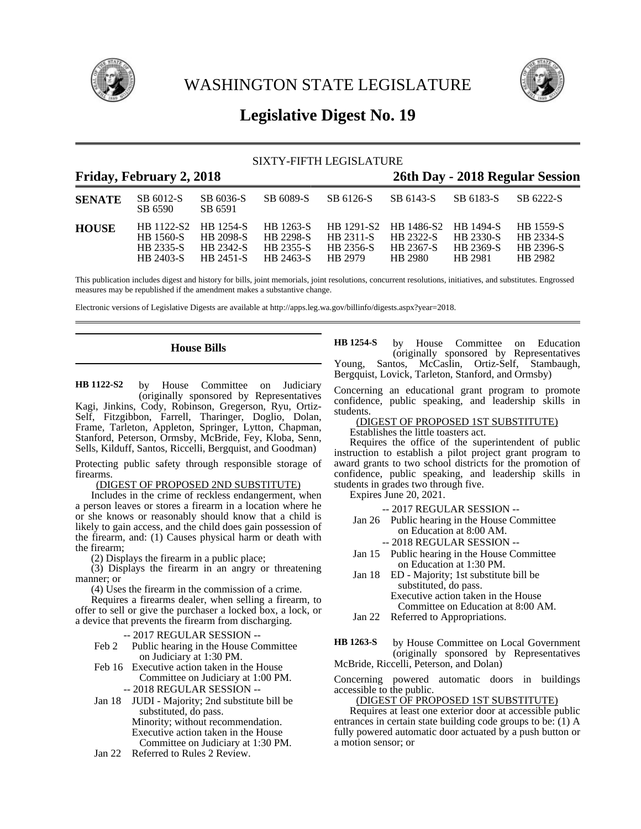

WASHINGTON STATE LEGISLATURE



## **Legislative Digest No. 19**

## SIXTY-FIFTH LEGISLATURE

## **Friday, February 2, 2018 26th Day - 2018 Regular Session**

| <b>SENATE</b> | SB 6012-S<br>SB 6590                       | SB 6036-S<br>SB 6591                                                         | SB 6089-S                                         | SB 6126-S                                | SB 6143-S                                                            | SB 6183-S                                | SB 6222-S                                      |  |
|---------------|--------------------------------------------|------------------------------------------------------------------------------|---------------------------------------------------|------------------------------------------|----------------------------------------------------------------------|------------------------------------------|------------------------------------------------|--|
| <b>HOUSE</b>  | <b>HR</b> 1560-S<br>HB 2335-S<br>HR 2403-S | HB 1122-S2 HB 1254-S HB 1263-S<br><b>HR 2098-S</b><br>HB 2342-S<br>HB 2451-S | <b>HR 2298-S</b><br><b>HB 2355-S</b><br>HB 2463-S | <b>HR 2311-S</b><br>HB 2356-S<br>HB 2979 | HB 1291-S2 HB 1486-S2 HB 1494-S<br>HR 2322-S<br>HB 2367-S<br>HB 2980 | <b>HB 2330-S</b><br>HB 2369-S<br>HR 2981 | HB 1559-S<br>HB 2334-S<br>HB 2396-S<br>HR 2982 |  |

This publication includes digest and history for bills, joint memorials, joint resolutions, concurrent resolutions, initiatives, and substitutes. Engrossed measures may be republished if the amendment makes a substantive change.

Electronic versions of Legislative Digests are available at http://apps.leg.wa.gov/billinfo/digests.aspx?year=2018.

## **House Bills**

by House Committee on Judiciary (originally sponsored by Representatives Kagi, Jinkins, Cody, Robinson, Gregerson, Ryu, Ortiz-Self, Fitzgibbon, Farrell, Tharinger, Doglio, Dolan, Frame, Tarleton, Appleton, Springer, Lytton, Chapman, Stanford, Peterson, Ormsby, McBride, Fey, Kloba, Senn, Sells, Kilduff, Santos, Riccelli, Bergquist, and Goodman) **HB 1122-S2**

Protecting public safety through responsible storage of firearms.

## (DIGEST OF PROPOSED 2ND SUBSTITUTE)

Includes in the crime of reckless endangerment, when a person leaves or stores a firearm in a location where he or she knows or reasonably should know that a child is likely to gain access, and the child does gain possession of the firearm, and: (1) Causes physical harm or death with the firearm;

(2) Displays the firearm in a public place;

(3) Displays the firearm in an angry or threatening manner; or

(4) Uses the firearm in the commission of a crime.

Requires a firearms dealer, when selling a firearm, to offer to sell or give the purchaser a locked box, a lock, or a device that prevents the firearm from discharging.

-- 2017 REGULAR SESSION --

- Feb 2 Public hearing in the House Committee on Judiciary at 1:30 PM.
- Feb 16 Executive action taken in the House Committee on Judiciary at 1:00 PM.

-- 2018 REGULAR SESSION --

Jan 18 JUDI - Majority; 2nd substitute bill be substituted, do pass. Minority; without recommendation. Executive action taken in the House Committee on Judiciary at 1:30 PM.

Jan 22 Referred to Rules 2 Review.

by House Committee on Education (originally sponsored by Representatives Young, Santos, McCaslin, Ortiz-Self, Stambaugh, Bergquist, Lovick, Tarleton, Stanford, and Ormsby) **HB 1254-S**

Concerning an educational grant program to promote confidence, public speaking, and leadership skills in students.

## (DIGEST OF PROPOSED 1ST SUBSTITUTE)

Establishes the little toasters act.

Requires the office of the superintendent of public instruction to establish a pilot project grant program to award grants to two school districts for the promotion of confidence, public speaking, and leadership skills in students in grades two through five.

Expires June 20, 2021.

-- 2017 REGULAR SESSION --

Jan 26 Public hearing in the House Committee on Education at 8:00 AM.

-- 2018 REGULAR SESSION --

- Jan 15 Public hearing in the House Committee on Education at 1:30 PM.
- Jan 18 ED Majority; 1st substitute bill be substituted, do pass. Executive action taken in the House Committee on Education at 8:00 AM.
- Jan 22 Referred to Appropriations.

by House Committee on Local Government (originally sponsored by Representatives McBride, Riccelli, Peterson, and Dolan) **HB 1263-S**

Concerning powered automatic doors in buildings accessible to the public.

## (DIGEST OF PROPOSED 1ST SUBSTITUTE)

Requires at least one exterior door at accessible public entrances in certain state building code groups to be: (1) A fully powered automatic door actuated by a push button or a motion sensor; or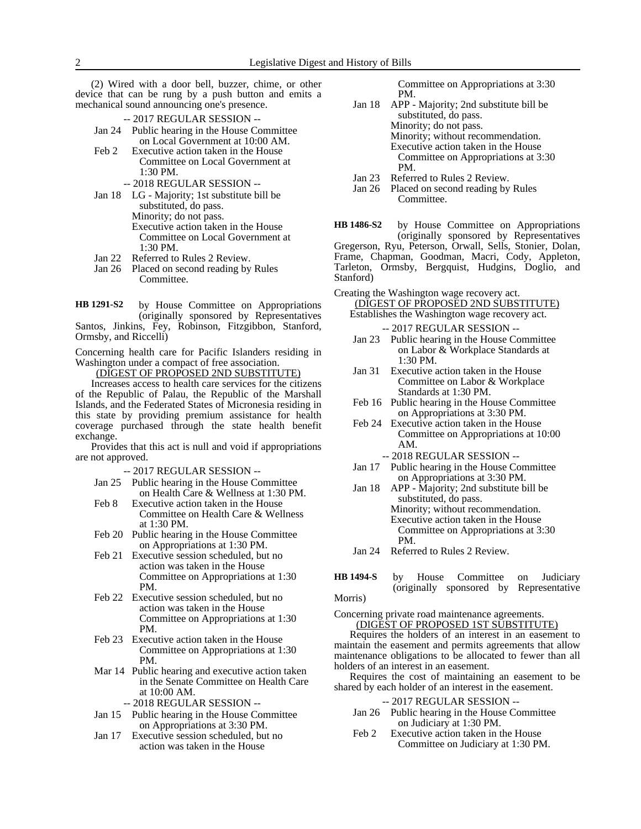(2) Wired with a door bell, buzzer, chime, or other device that can be rung by a push button and emits a mechanical sound announcing one's presence.

- -- 2017 REGULAR SESSION -- Jan 24 Public hearing in the House Committee on Local Government at 10:00 AM.
- Feb 2 Executive action taken in the House Committee on Local Government at 1:30 PM.
	- -- 2018 REGULAR SESSION --
- Jan 18 LG Majority; 1st substitute bill be substituted, do pass. Minority; do not pass. Executive action taken in the House Committee on Local Government at 1:30 PM.
- Jan 22 Referred to Rules 2 Review.
- Jan 26 Placed on second reading by Rules Committee.
- by House Committee on Appropriations (originally sponsored by Representatives Santos, Jinkins, Fey, Robinson, Fitzgibbon, Stanford, **HB 1291-S2**

Ormsby, and Riccelli)

Concerning health care for Pacific Islanders residing in Washington under a compact of free association.

(DIGEST OF PROPOSED 2ND SUBSTITUTE)

Increases access to health care services for the citizens of the Republic of Palau, the Republic of the Marshall Islands, and the Federated States of Micronesia residing in this state by providing premium assistance for health coverage purchased through the state health benefit exchange.

Provides that this act is null and void if appropriations are not approved.

-- 2017 REGULAR SESSION --

- Jan 25 Public hearing in the House Committee on Health Care & Wellness at 1:30 PM.
- Feb 8 Executive action taken in the House Committee on Health Care & Wellness at 1:30 PM.
- Feb 20 Public hearing in the House Committee on Appropriations at 1:30 PM.
- Feb 21 Executive session scheduled, but no action was taken in the House Committee on Appropriations at 1:30 PM.
- Feb 22 Executive session scheduled, but no action was taken in the House Committee on Appropriations at 1:30 PM.
- Feb 23 Executive action taken in the House Committee on Appropriations at 1:30 PM.
- Mar 14 Public hearing and executive action taken in the Senate Committee on Health Care at 10:00 AM.
	- -- 2018 REGULAR SESSION --
- Jan 15 Public hearing in the House Committee on Appropriations at 3:30 PM.
- Jan 17 Executive session scheduled, but no action was taken in the House

Committee on Appropriations at 3:30 PM.

- Jan 18 APP Majority; 2nd substitute bill be substituted, do pass. Minority; do not pass. Minority; without recommendation. Executive action taken in the House Committee on Appropriations at 3:30 PM.
- Jan 23 Referred to Rules 2 Review.<br>Jan 26 Placed on second reading by
- Placed on second reading by Rules Committee.

by House Committee on Appropriations (originally sponsored by Representatives Gregerson, Ryu, Peterson, Orwall, Sells, Stonier, Dolan, Frame, Chapman, Goodman, Macri, Cody, Appleton, Tarleton, Ormsby, Bergquist, Hudgins, Doglio, and Stanford) **HB 1486-S2**

- Creating the Washington wage recovery act. (DIGEST OF PROPOSED 2ND SUBSTITUTE)
	- Establishes the Washington wage recovery act. -- 2017 REGULAR SESSION --
	- Jan 23 Public hearing in the House Committee on Labor & Workplace Standards at 1:30 PM.
	- Jan 31 Executive action taken in the House Committee on Labor & Workplace Standards at 1:30 PM.
	- Feb 16 Public hearing in the House Committee on Appropriations at 3:30 PM.
	- Feb 24 Executive action taken in the House Committee on Appropriations at 10:00 AM.

-- 2018 REGULAR SESSION --

- Jan 17 Public hearing in the House Committee on Appropriations at 3:30 PM.
- Jan 18 APP Majority; 2nd substitute bill be substituted, do pass. Minority; without recommendation. Executive action taken in the House Committee on Appropriations at 3:30 PM.
- Jan 24 Referred to Rules 2 Review.
- by House Committee on Judiciary (originally sponsored by Representative Morris) **HB 1494-S**

Concerning private road maintenance agreements.

(DIGEST OF PROPOSED 1ST SUBSTITUTE)

Requires the holders of an interest in an easement to maintain the easement and permits agreements that allow maintenance obligations to be allocated to fewer than all holders of an interest in an easement.

Requires the cost of maintaining an easement to be shared by each holder of an interest in the easement.

-- 2017 REGULAR SESSION --

- Jan 26 Public hearing in the House Committee on Judiciary at 1:30 PM.
- Feb 2 Executive action taken in the House Committee on Judiciary at 1:30 PM.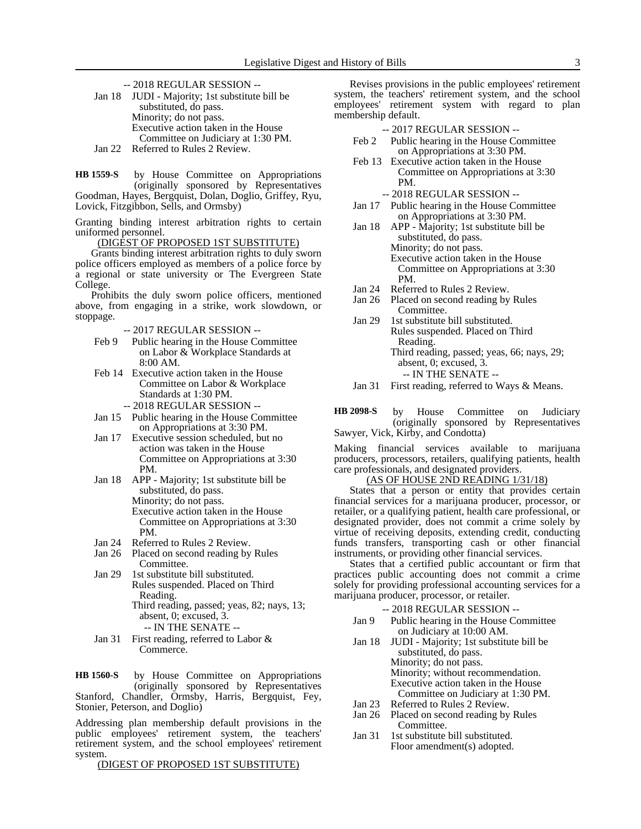-- 2018 REGULAR SESSION -- Jan 18 JUDI - Majority; 1st substitute bill be substituted, do pass. Minority; do not pass. Executive action taken in the House Committee on Judiciary at 1:30 PM. Jan 22 Referred to Rules 2 Review.

by House Committee on Appropriations (originally sponsored by Representatives Goodman, Hayes, Bergquist, Dolan, Doglio, Griffey, Ryu, Lovick, Fitzgibbon, Sells, and Ormsby) **HB 1559-S**

Granting binding interest arbitration rights to certain uniformed personnel.

(DIGEST OF PROPOSED 1ST SUBSTITUTE)

Grants binding interest arbitration rights to duly sworn police officers employed as members of a police force by a regional or state university or The Evergreen State College.

Prohibits the duly sworn police officers, mentioned above, from engaging in a strike, work slowdown, or stoppage.

-- 2017 REGULAR SESSION --

- Feb 9 Public hearing in the House Committee on Labor & Workplace Standards at 8:00 AM.
- Feb 14 Executive action taken in the House Committee on Labor & Workplace Standards at 1:30 PM.
	- -- 2018 REGULAR SESSION --
- Jan 15 Public hearing in the House Committee on Appropriations at 3:30 PM.
- Jan 17 Executive session scheduled, but no action was taken in the House Committee on Appropriations at 3:30 PM.
- Jan 18 APP Majority; 1st substitute bill be substituted, do pass. Minority; do not pass. Executive action taken in the House Committee on Appropriations at 3:30 PM.
- Jan 24 Referred to Rules 2 Review.<br>Jan 26 Placed on second reading by
- Placed on second reading by Rules Committee.
- Jan 29 1st substitute bill substituted. Rules suspended. Placed on Third Reading.

Third reading, passed; yeas, 82; nays, 13; absent, 0; excused, 3.

-- IN THE SENATE --

Jan 31 First reading, referred to Labor & Commerce.

by House Committee on Appropriations (originally sponsored by Representatives Stanford, Chandler, Ormsby, Harris, Bergquist, Fey, Stonier, Peterson, and Doglio) **HB 1560-S**

Addressing plan membership default provisions in the public employees' retirement system, the teachers' retirement system, and the school employees' retirement system.

(DIGEST OF PROPOSED 1ST SUBSTITUTE)

Revises provisions in the public employees' retirement system, the teachers' retirement system, and the school employees' retirement system with regard to plan membership default.

-- 2017 REGULAR SESSION --

- Feb 2 Public hearing in the House Committee on Appropriations at 3:30 PM.
- Feb 13 Executive action taken in the House Committee on Appropriations at 3:30 PM.

-- 2018 REGULAR SESSION --

- Jan 17 Public hearing in the House Committee on Appropriations at 3:30 PM.
- Jan 18 APP Majority; 1st substitute bill be substituted, do pass. Minority; do not pass. Executive action taken in the House Committee on Appropriations at 3:30 PM.
- Jan 24 Referred to Rules 2 Review.<br>Jan 26 Placed on second reading by
- Placed on second reading by Rules Committee.
- Jan 29 1st substitute bill substituted. Rules suspended. Placed on Third Reading. Third reading, passed; yeas, 66; nays, 29; absent, 0; excused, 3. -- IN THE SENATE --
- Jan 31 First reading, referred to Ways & Means.

by House Committee on Judiciary (originally sponsored by Representatives Sawyer, Vick, Kirby, and Condotta) **HB 2098-S**

Making financial services available to marijuana producers, processors, retailers, qualifying patients, health care professionals, and designated providers.

(AS OF HOUSE 2ND READING 1/31/18)

States that a person or entity that provides certain financial services for a marijuana producer, processor, or retailer, or a qualifying patient, health care professional, or designated provider, does not commit a crime solely by virtue of receiving deposits, extending credit, conducting funds transfers, transporting cash or other financial instruments, or providing other financial services.

States that a certified public accountant or firm that practices public accounting does not commit a crime solely for providing professional accounting services for a marijuana producer, processor, or retailer.

-- 2018 REGULAR SESSION --

- Jan 9 Public hearing in the House Committee on Judiciary at 10:00 AM.
- Jan 18 JUDI Majority; 1st substitute bill be substituted, do pass. Minority; do not pass. Minority; without recommendation. Executive action taken in the House Committee on Judiciary at 1:30 PM.
- Jan 23 Referred to Rules 2 Review.
- Jan 26 Placed on second reading by Rules Committee.
- Jan 31 1st substitute bill substituted. Floor amendment(s) adopted.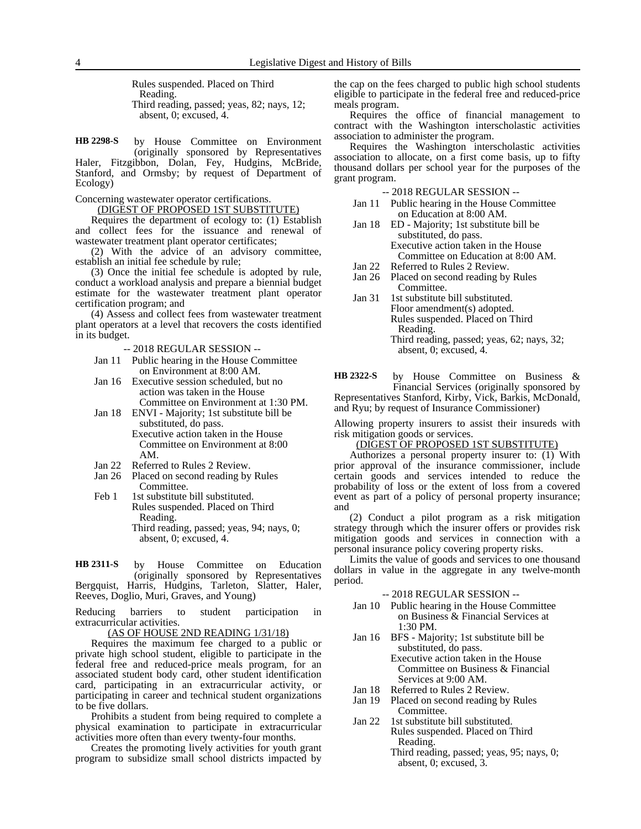Rules suspended. Placed on Third Reading. Third reading, passed; yeas, 82; nays, 12; absent, 0; excused, 4.

by House Committee on Environment (originally sponsored by Representatives **HB 2298-S**

Haler, Fitzgibbon, Dolan, Fey, Hudgins, McBride, Stanford, and Ormsby; by request of Department of Ecology)

Concerning wastewater operator certifications.

(DIGEST OF PROPOSED 1ST SUBSTITUTE)

Requires the department of ecology to: (1) Establish and collect fees for the issuance and renewal of wastewater treatment plant operator certificates;

(2) With the advice of an advisory committee, establish an initial fee schedule by rule;

(3) Once the initial fee schedule is adopted by rule, conduct a workload analysis and prepare a biennial budget estimate for the wastewater treatment plant operator certification program; and

(4) Assess and collect fees from wastewater treatment plant operators at a level that recovers the costs identified in its budget.

-- 2018 REGULAR SESSION --

- Jan 11 Public hearing in the House Committee on Environment at 8:00 AM.
- Jan 16 Executive session scheduled, but no action was taken in the House Committee on Environment at 1:30 PM.
- Jan 18 ENVI Majority; 1st substitute bill be substituted, do pass.

Executive action taken in the House Committee on Environment at 8:00 AM.

- Jan 22 Referred to Rules 2 Review.<br>Jan 26 Placed on second reading by
- Placed on second reading by Rules Committee.
- Feb 1 1st substitute bill substituted. Rules suspended. Placed on Third Reading. Third reading, passed; yeas, 94; nays, 0; absent, 0; excused, 4.

by House Committee on Education (originally sponsored by Representatives Bergquist, Harris, Hudgins, Tarleton, Slatter, Haler, Reeves, Doglio, Muri, Graves, and Young) **HB 2311-S**

Reducing barriers to student participation in extracurricular activities.

(AS OF HOUSE 2ND READING 1/31/18)

Requires the maximum fee charged to a public or private high school student, eligible to participate in the federal free and reduced-price meals program, for an associated student body card, other student identification card, participating in an extracurricular activity, or participating in career and technical student organizations to be five dollars.

Prohibits a student from being required to complete a physical examination to participate in extracurricular activities more often than every twenty-four months.

Creates the promoting lively activities for youth grant program to subsidize small school districts impacted by the cap on the fees charged to public high school students eligible to participate in the federal free and reduced-price meals program.

Requires the office of financial management to contract with the Washington interscholastic activities association to administer the program.

Requires the Washington interscholastic activities association to allocate, on a first come basis, up to fifty thousand dollars per school year for the purposes of the grant program.

-- 2018 REGULAR SESSION --

- Jan 11 Public hearing in the House Committee on Education at 8:00 AM.
- Jan 18 ED Majority; 1st substitute bill be substituted, do pass. Executive action taken in the House Committee on Education at 8:00 AM.
- Jan 22 Referred to Rules 2 Review.<br>Jan 26 Placed on second reading by
- Placed on second reading by Rules Committee.
- Jan 31 1st substitute bill substituted. Floor amendment(s) adopted. Rules suspended. Placed on Third Reading. Third reading, passed; yeas, 62; nays, 32; absent, 0; excused, 4.

by House Committee on Business & Financial Services (originally sponsored by Representatives Stanford, Kirby, Vick, Barkis, McDonald, and Ryu; by request of Insurance Commissioner) **HB 2322-S**

Allowing property insurers to assist their insureds with risk mitigation goods or services.

## (DIGEST OF PROPOSED 1ST SUBSTITUTE)

Authorizes a personal property insurer to: (1) With prior approval of the insurance commissioner, include certain goods and services intended to reduce the probability of loss or the extent of loss from a covered event as part of a policy of personal property insurance; and

(2) Conduct a pilot program as a risk mitigation strategy through which the insurer offers or provides risk mitigation goods and services in connection with a personal insurance policy covering property risks.

Limits the value of goods and services to one thousand dollars in value in the aggregate in any twelve-month period.

-- 2018 REGULAR SESSION --

- Jan 10 Public hearing in the House Committee on Business & Financial Services at 1:30 PM.
- Jan 16 BFS Majority; 1st substitute bill be substituted, do pass. Executive action taken in the House Committee on Business & Financial Services at 9:00 AM.
- Jan 18 Referred to Rules 2 Review.
- Jan 19 Placed on second reading by Rules Committee.
- Jan 22 1st substitute bill substituted. Rules suspended. Placed on Third Reading.
	- Third reading, passed; yeas, 95; nays, 0; absent, 0; excused, 3.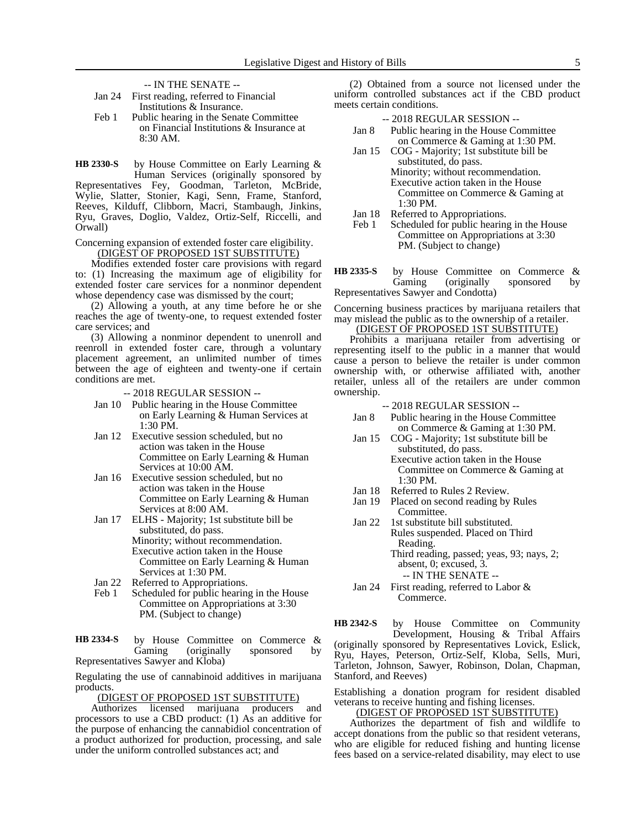-- IN THE SENATE --

| Jan $24$ | First reading, referred to Financial |
|----------|--------------------------------------|
|          | Institutions & Insurance.            |

Feb 1 Public hearing in the Senate Committee on Financial Institutions & Insurance at 8:30 AM.

by House Committee on Early Learning & Human Services (originally sponsored by Representatives Fey, Goodman, Tarleton, McBride, Wylie, Slatter, Stonier, Kagi, Senn, Frame, Stanford, Reeves, Kilduff, Clibborn, Macri, Stambaugh, Jinkins, Ryu, Graves, Doglio, Valdez, Ortiz-Self, Riccelli, and **HB 2330-S**

Concerning expansion of extended foster care eligibility. (DIGEST OF PROPOSED 1ST SUBSTITUTE)

Orwall)

Modifies extended foster care provisions with regard to: (1) Increasing the maximum age of eligibility for extended foster care services for a nonminor dependent whose dependency case was dismissed by the court;

(2) Allowing a youth, at any time before he or she reaches the age of twenty-one, to request extended foster care services; and

(3) Allowing a nonminor dependent to unenroll and reenroll in extended foster care, through a voluntary placement agreement, an unlimited number of times between the age of eighteen and twenty-one if certain conditions are met.

- -- 2018 REGULAR SESSION --
- Jan 10 Public hearing in the House Committee on Early Learning & Human Services at 1:30 PM.
- Jan 12 Executive session scheduled, but no action was taken in the House Committee on Early Learning & Human Services at 10:00 AM.
- Jan 16 Executive session scheduled, but no action was taken in the House Committee on Early Learning & Human Services at 8:00 AM.
- Jan 17 ELHS Majority; 1st substitute bill be substituted, do pass. Minority; without recommendation. Executive action taken in the House Committee on Early Learning & Human Services at 1:30 PM.
- Jan 22 Referred to Appropriations.
- Feb 1 Scheduled for public hearing in the House Committee on Appropriations at 3:30 PM. (Subject to change)

by House Committee on Commerce & Gaming (originally sponsored by Representatives Sawyer and Kloba) **HB 2334-S**

Regulating the use of cannabinoid additives in marijuana products.

(DIGEST OF PROPOSED 1ST SUBSTITUTE)<br>Authorizes licensed marijuana producers

marijuana producers and processors to use a CBD product: (1) As an additive for the purpose of enhancing the cannabidiol concentration of a product authorized for production, processing, and sale under the uniform controlled substances act; and

(2) Obtained from a source not licensed under the uniform controlled substances act if the CBD product meets certain conditions.

| $-2018$ REGULAR SESSION $-$   |  |  |  |  |
|-------------------------------|--|--|--|--|
| $\mathbf{r}$ 1 1 $\mathbf{r}$ |  |  |  |  |

- Jan 8 Public hearing in the House Committee on Commerce & Gaming at 1:30 PM.
- Jan 15 COG Majority; 1st substitute bill be substituted, do pass. Minority; without recommendation. Executive action taken in the House Committee on Commerce & Gaming at 1:30 PM.
- Jan 18 Referred to Appropriations.<br>Feb 1 Scheduled for public hearing
- Scheduled for public hearing in the House Committee on Appropriations at 3:30 PM. (Subject to change)
- by House Committee on Commerce &<br>Gaming (originally sponsored by sponsored by Representatives Sawyer and Condotta) **HB 2335-S**

Concerning business practices by marijuana retailers that may mislead the public as to the ownership of a retailer.

## (DIGEST OF PROPOSED 1ST SUBSTITUTE)

Prohibits a marijuana retailer from advertising or representing itself to the public in a manner that would cause a person to believe the retailer is under common ownership with, or otherwise affiliated with, another retailer, unless all of the retailers are under common ownership.

## -- 2018 REGULAR SESSION --

- Jan 8 Public hearing in the House Committee on Commerce & Gaming at 1:30 PM.
- Jan 15 COG Majority; 1st substitute bill be substituted, do pass.
	- Executive action taken in the House Committee on Commerce & Gaming at 1:30 PM.
- Jan 18 Referred to Rules 2 Review.<br>Jan 19 Placed on second reading by
- Placed on second reading by Rules Committee.
- Jan 22 1st substitute bill substituted. Rules suspended. Placed on Third Reading.
	- Third reading, passed; yeas, 93; nays, 2; absent, 0; excused, 3. -- IN THE SENATE --
- Jan 24 First reading, referred to Labor &
	- Commerce.

by House Committee on Community Development, Housing & Tribal Affairs (originally sponsored by Representatives Lovick, Eslick, Ryu, Hayes, Peterson, Ortiz-Self, Kloba, Sells, Muri, Tarleton, Johnson, Sawyer, Robinson, Dolan, Chapman, Stanford, and Reeves) **HB 2342-S**

Establishing a donation program for resident disabled veterans to receive hunting and fishing licenses.

(DIGEST OF PROPOSED 1ST SUBSTITUTE)

Authorizes the department of fish and wildlife to accept donations from the public so that resident veterans, who are eligible for reduced fishing and hunting license fees based on a service-related disability, may elect to use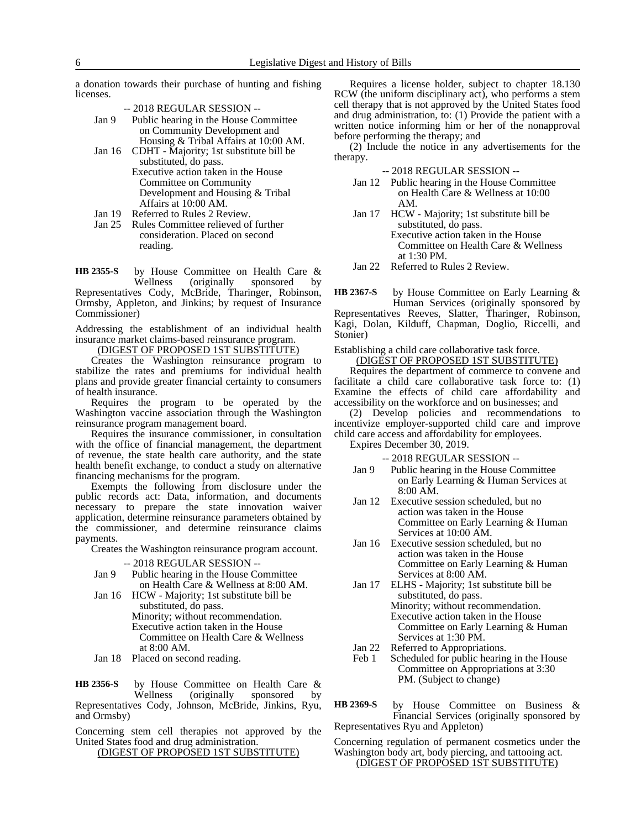a donation towards their purchase of hunting and fishing licenses.

- -- 2018 REGULAR SESSION --
- Jan 9 Public hearing in the House Committee on Community Development and Housing & Tribal Affairs at 10:00 AM.
- Jan 16 CDHT Majority; 1st substitute bill be substituted, do pass.

Executive action taken in the House Committee on Community Development and Housing & Tribal Affairs at 10:00 AM.

- Jan 19 Referred to Rules 2 Review.<br>Jan 25 Rules Committee relieved of
- Rules Committee relieved of further consideration. Placed on second reading.

by House Committee on Health Care &<br>Wellness (originally sponsored by sponsored by Representatives Cody, McBride, Tharinger, Robinson, Ormsby, Appleton, and Jinkins; by request of Insurance Commissioner) **HB 2355-S**

Addressing the establishment of an individual health insurance market claims-based reinsurance program.

(DIGEST OF PROPOSED 1ST SUBSTITUTE)

Creates the Washington reinsurance program to stabilize the rates and premiums for individual health plans and provide greater financial certainty to consumers of health insurance.

Requires the program to be operated by the Washington vaccine association through the Washington reinsurance program management board.

Requires the insurance commissioner, in consultation with the office of financial management, the department of revenue, the state health care authority, and the state health benefit exchange, to conduct a study on alternative financing mechanisms for the program.

Exempts the following from disclosure under the public records act: Data, information, and documents necessary to prepare the state innovation waiver application, determine reinsurance parameters obtained by the commissioner, and determine reinsurance claims payments.

Creates the Washington reinsurance program account.

-- 2018 REGULAR SESSION --

- Jan 9 Public hearing in the House Committee on Health Care & Wellness at 8:00 AM.
- Jan 16 HCW Majority; 1st substitute bill be substituted, do pass. Minority; without recommendation. Executive action taken in the House Committee on Health Care & Wellness
	- at 8:00 AM.
- Jan 18 Placed on second reading.

by House Committee on Health Care & Wellness (originally sponsored by Representatives Cody, Johnson, McBride, Jinkins, Ryu, and Ormsby) **HB 2356-S**

Concerning stem cell therapies not approved by the United States food and drug administration.

(DIGEST OF PROPOSED 1ST SUBSTITUTE)

Requires a license holder, subject to chapter 18.130 RCW (the uniform disciplinary act), who performs a stem cell therapy that is not approved by the United States food and drug administration, to: (1) Provide the patient with a written notice informing him or her of the nonapproval before performing the therapy; and

(2) Include the notice in any advertisements for the therapy.

-- 2018 REGULAR SESSION --

- Jan 12 Public hearing in the House Committee on Health Care & Wellness at 10:00 AM.
- Jan 17 HCW Majority; 1st substitute bill be substituted, do pass.

Executive action taken in the House Committee on Health Care & Wellness at 1:30 PM.

Jan 22 Referred to Rules 2 Review.

by House Committee on Early Learning & Human Services (originally sponsored by Representatives Reeves, Slatter, Tharinger, Robinson, Kagi, Dolan, Kilduff, Chapman, Doglio, Riccelli, and Stonier) **HB 2367-S**

Establishing a child care collaborative task force.

(DIGEST OF PROPOSED 1ST SUBSTITUTE)

Requires the department of commerce to convene and facilitate a child care collaborative task force to: (1) Examine the effects of child care affordability and accessibility on the workforce and on businesses; and

(2) Develop policies and recommendations to incentivize employer-supported child care and improve child care access and affordability for employees.

Expires December 30, 2019.

-- 2018 REGULAR SESSION --

- Jan 9 Public hearing in the House Committee on Early Learning & Human Services at 8:00 AM.
- Jan 12 Executive session scheduled, but no action was taken in the House Committee on Early Learning & Human Services at 10:00 AM.
- Jan 16 Executive session scheduled, but no action was taken in the House Committee on Early Learning & Human Services at 8:00 AM.
- Jan 17 ELHS Majority; 1st substitute bill be substituted, do pass. Minority; without recommendation. Executive action taken in the House Committee on Early Learning & Human Services at 1:30 PM.
- 
- Jan 22 Referred to Appropriations.<br>Feb 1 Scheduled for public hearing Scheduled for public hearing in the House Committee on Appropriations at 3:30 PM. (Subject to change)
- by House Committee on Business & Financial Services (originally sponsored by Representatives Ryu and Appleton) **HB 2369-S**

Concerning regulation of permanent cosmetics under the Washington body art, body piercing, and tattooing act. (DIGEST OF PROPOSED 1ST SUBSTITUTE)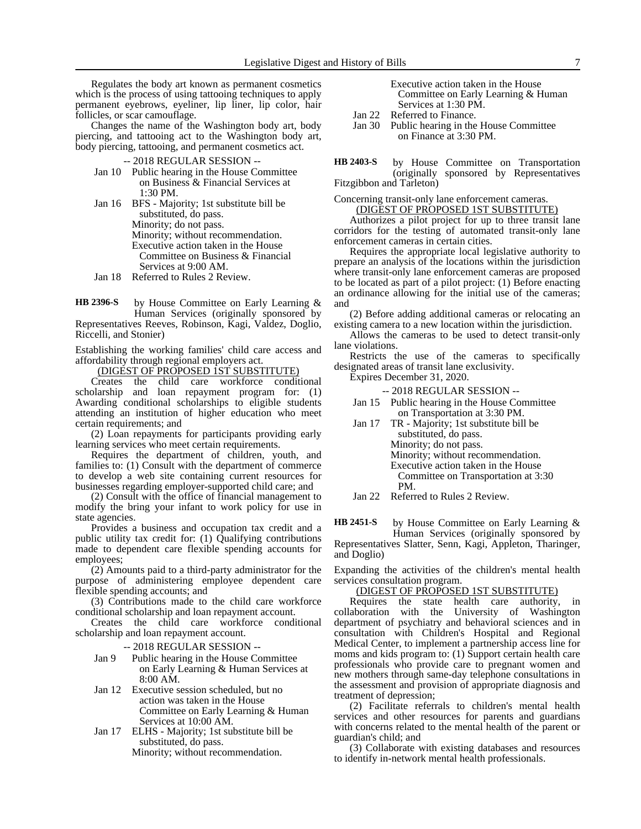Regulates the body art known as permanent cosmetics which is the process of using tattooing techniques to apply permanent eyebrows, eyeliner, lip liner, lip color, hair follicles, or scar camouflage.

Changes the name of the Washington body art, body piercing, and tattooing act to the Washington body art, body piercing, tattooing, and permanent cosmetics act.

## -- 2018 REGULAR SESSION --

- Jan 10 Public hearing in the House Committee on Business & Financial Services at 1:30 PM.
- Jan 16 BFS Majority; 1st substitute bill be substituted, do pass. Minority; do not pass. Minority; without recommendation. Executive action taken in the House Committee on Business & Financial Services at 9:00 AM.
- Jan 18 Referred to Rules 2 Review.

by House Committee on Early Learning & Human Services (originally sponsored by Representatives Reeves, Robinson, Kagi, Valdez, Doglio, Riccelli, and Stonier) **HB 2396-S**

Establishing the working families' child care access and affordability through regional employers act.

<u>(DIGEST OF PROPOSED IST SUBSTITUTE)</u>

Creates the child care workforce conditional scholarship and loan repayment program for: (1) Awarding conditional scholarships to eligible students attending an institution of higher education who meet certain requirements; and

(2) Loan repayments for participants providing early learning services who meet certain requirements.

Requires the department of children, youth, and families to: (1) Consult with the department of commerce to develop a web site containing current resources for businesses regarding employer-supported child care; and

(2) Consult with the office of financial management to modify the bring your infant to work policy for use in state agencies.

Provides a business and occupation tax credit and a public utility tax credit for: (1) Qualifying contributions made to dependent care flexible spending accounts for employees;

(2) Amounts paid to a third-party administrator for the purpose of administering employee dependent care flexible spending accounts; and

(3) Contributions made to the child care workforce conditional scholarship and loan repayment account.

Creates the child care workforce conditional scholarship and loan repayment account.

-- 2018 REGULAR SESSION --

- Jan 9 Public hearing in the House Committee on Early Learning & Human Services at 8:00 AM.
- Jan 12 Executive session scheduled, but no action was taken in the House Committee on Early Learning & Human Services at 10:00 AM.
- Jan 17 ELHS Majority; 1st substitute bill be substituted, do pass.

Minority; without recommendation.

| Executive action taken in the House |
|-------------------------------------|
| Committee on Early Learning & Human |
| Services at 1:30 PM.                |
| . <del>.</del>                      |

- Jan 22 Referred to Finance.
- Jan 30 Public hearing in the House Committee on Finance at 3:30 PM.

by House Committee on Transportation (originally sponsored by Representatives Fitzgibbon and Tarleton) **HB 2403-S**

Concerning transit-only lane enforcement cameras. (DIGEST OF PROPOSED 1ST SUBSTITUTE)

Authorizes a pilot project for up to three transit lane corridors for the testing of automated transit-only lane enforcement cameras in certain cities.

Requires the appropriate local legislative authority to prepare an analysis of the locations within the jurisdiction where transit-only lane enforcement cameras are proposed to be located as part of a pilot project: (1) Before enacting an ordinance allowing for the initial use of the cameras; and

(2) Before adding additional cameras or relocating an existing camera to a new location within the jurisdiction.

Allows the cameras to be used to detect transit-only lane violations.

Restricts the use of the cameras to specifically designated areas of transit lane exclusivity.

Expires December 31, 2020.

- -- 2018 REGULAR SESSION --
- Jan 15 Public hearing in the House Committee on Transportation at 3:30 PM.
- Jan 17 TR Majority; 1st substitute bill be substituted, do pass. Minority; do not pass. Minority; without recommendation. Executive action taken in the House Committee on Transportation at 3:30 PM.

Jan 22 Referred to Rules 2 Review.

by House Committee on Early Learning & Human Services (originally sponsored by **HB 2451-S**

Representatives Slatter, Senn, Kagi, Appleton, Tharinger, and Doglio)

Expanding the activities of the children's mental health services consultation program.

# (DIGEST OF PROPOSED 1ST SUBSTITUTE)<br>Requires the state health care authority

health care authority, in collaboration with the University of Washington department of psychiatry and behavioral sciences and in consultation with Children's Hospital and Regional Medical Center, to implement a partnership access line for moms and kids program to: (1) Support certain health care professionals who provide care to pregnant women and new mothers through same-day telephone consultations in the assessment and provision of appropriate diagnosis and treatment of depression;

(2) Facilitate referrals to children's mental health services and other resources for parents and guardians with concerns related to the mental health of the parent or guardian's child; and

(3) Collaborate with existing databases and resources to identify in-network mental health professionals.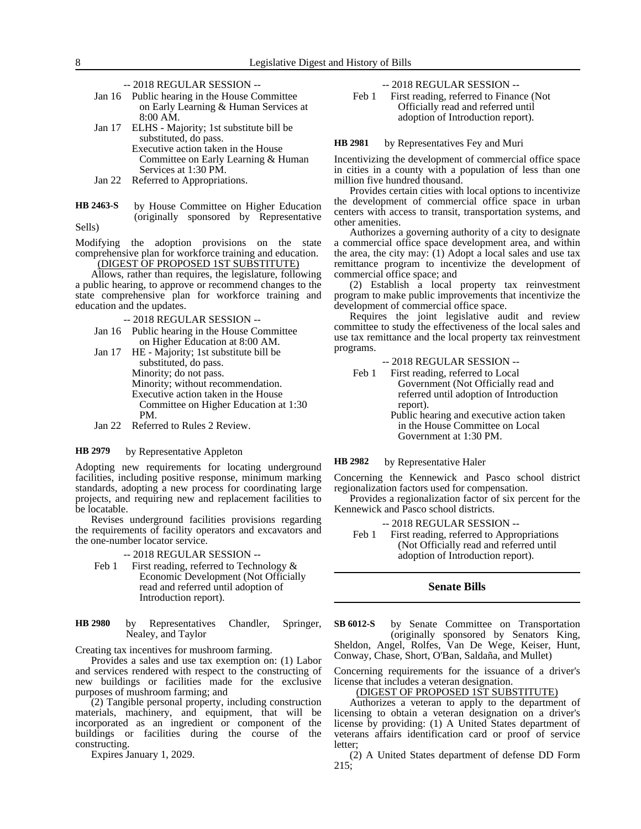- -- 2018 REGULAR SESSION --
- Jan 16 Public hearing in the House Committee on Early Learning & Human Services at 8:00 AM.
- Jan 17 ELHS Majority; 1st substitute bill be substituted, do pass. Executive action taken in the House Committee on Early Learning & Human Services at 1:30 PM.
- Jan 22 Referred to Appropriations.
- by House Committee on Higher Education (originally sponsored by Representative Sells) **HB 2463-S**

Modifying the adoption provisions on the state comprehensive plan for workforce training and education. (DIGEST OF PROPOSED 1ST SUBSTITUTE)

Allows, rather than requires, the legislature, following a public hearing, to approve or recommend changes to the state comprehensive plan for workforce training and education and the updates.

- -- 2018 REGULAR SESSION --
- Jan 16 Public hearing in the House Committee on Higher Education at 8:00 AM.
- Jan 17 HE Majority; 1st substitute bill be substituted, do pass. Minority; do not pass. Minority; without recommendation. Executive action taken in the House Committee on Higher Education at 1:30 PM.
- Jan 22 Referred to Rules 2 Review.

#### by Representative Appleton **HB 2979**

Adopting new requirements for locating underground facilities, including positive response, minimum marking standards, adopting a new process for coordinating large projects, and requiring new and replacement facilities to be locatable.

Revises underground facilities provisions regarding the requirements of facility operators and excavators and the one-number locator service.

### -- 2018 REGULAR SESSION --

- Feb 1 First reading, referred to Technology  $\&$ Economic Development (Not Officially read and referred until adoption of Introduction report).
- by Representatives Chandler, Springer, Nealey, and Taylor **HB 2980**

Creating tax incentives for mushroom farming.

Provides a sales and use tax exemption on: (1) Labor and services rendered with respect to the constructing of new buildings or facilities made for the exclusive purposes of mushroom farming; and

(2) Tangible personal property, including construction materials, machinery, and equipment, that will be incorporated as an ingredient or component of the buildings or facilities during the course of the constructing.

Expires January 1, 2029.

-- 2018 REGULAR SESSION --

Feb 1 First reading, referred to Finance (Not Officially read and referred until adoption of Introduction report).

#### by Representatives Fey and Muri **HB 2981**

Incentivizing the development of commercial office space in cities in a county with a population of less than one million five hundred thousand.

Provides certain cities with local options to incentivize the development of commercial office space in urban centers with access to transit, transportation systems, and other amenities.

Authorizes a governing authority of a city to designate a commercial office space development area, and within the area, the city may: (1) Adopt a local sales and use tax remittance program to incentivize the development of commercial office space; and

(2) Establish a local property tax reinvestment program to make public improvements that incentivize the development of commercial office space.

Requires the joint legislative audit and review committee to study the effectiveness of the local sales and use tax remittance and the local property tax reinvestment programs.

-- 2018 REGULAR SESSION --

- Feb 1 First reading, referred to Local Government (Not Officially read and referred until adoption of Introduction report).
	- Public hearing and executive action taken in the House Committee on Local Government at 1:30 PM.

#### by Representative Haler **HB 2982**

Concerning the Kennewick and Pasco school district regionalization factors used for compensation.

Provides a regionalization factor of six percent for the Kennewick and Pasco school districts.

-- 2018 REGULAR SESSION --

Feb 1 First reading, referred to Appropriations (Not Officially read and referred until adoption of Introduction report).

## **Senate Bills**

by Senate Committee on Transportation (originally sponsored by Senators King, Sheldon, Angel, Rolfes, Van De Wege, Keiser, Hunt, Conway, Chase, Short, O'Ban, Saldaña, and Mullet) **SB 6012-S**

Concerning requirements for the issuance of a driver's license that includes a veteran designation.

## (DIGEST OF PROPOSED 1ST SUBSTITUTE)

Authorizes a veteran to apply to the department of licensing to obtain a veteran designation on a driver's license by providing: (1) A United States department of veterans affairs identification card or proof of service letter;

(2) A United States department of defense DD Form 215;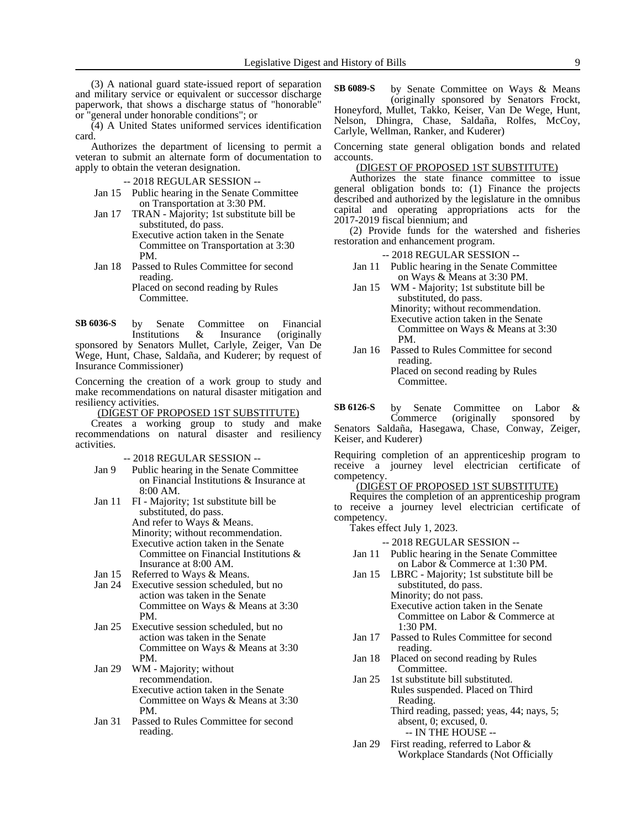(3) A national guard state-issued report of separation and military service or equivalent or successor discharge paperwork, that shows a discharge status of "honorable" or "general under honorable conditions"; or

(4) A United States uniformed services identification card.

Authorizes the department of licensing to permit a veteran to submit an alternate form of documentation to apply to obtain the veteran designation.

-- 2018 REGULAR SESSION --

- Jan 15 Public hearing in the Senate Committee on Transportation at 3:30 PM.
- Jan 17 TRAN Majority; 1st substitute bill be substituted, do pass. Executive action taken in the Senate

Committee on Transportation at 3:30 PM.

Jan 18 Passed to Rules Committee for second reading. Placed on second reading by Rules

Committee.

by Senate Committee on Financial Institutions & Insurance (originally sponsored by Senators Mullet, Carlyle, Zeiger, Van De **SB 6036-S**

Wege, Hunt, Chase, Saldaña, and Kuderer; by request of Insurance Commissioner)

Concerning the creation of a work group to study and make recommendations on natural disaster mitigation and resiliency activities.

## (DIGEST OF PROPOSED 1ST SUBSTITUTE)

Creates a working group to study and make recommendations on natural disaster and resiliency activities.

## -- 2018 REGULAR SESSION --

- Jan 9 Public hearing in the Senate Committee on Financial Institutions & Insurance at 8:00 AM.
- Jan 11 FI Majority; 1st substitute bill be substituted, do pass. And refer to Ways & Means. Minority; without recommendation. Executive action taken in the Senate Committee on Financial Institutions & Insurance at 8:00 AM.
- Jan 15 Referred to Ways & Means.
- Jan 24 Executive session scheduled, but no action was taken in the Senate Committee on Ways & Means at 3:30 PM.
- Jan 25 Executive session scheduled, but no action was taken in the Senate Committee on Ways & Means at 3:30 PM.
- Jan 29 WM Majority; without recommendation. Executive action taken in the Senate Committee on Ways & Means at 3:30 PM.
- Jan 31 Passed to Rules Committee for second reading.

by Senate Committee on Ways & Means (originally sponsored by Senators Frockt, Honeyford, Mullet, Takko, Keiser, Van De Wege, Hunt, Nelson, Dhingra, Chase, Saldaña, Rolfes, McCoy, Carlyle, Wellman, Ranker, and Kuderer) **SB 6089-S**

Concerning state general obligation bonds and related accounts.

## (DIGEST OF PROPOSED 1ST SUBSTITUTE)

Authorizes the state finance committee to issue general obligation bonds to: (1) Finance the projects described and authorized by the legislature in the omnibus capital and operating appropriations acts for the 2017-2019 fiscal biennium; and

(2) Provide funds for the watershed and fisheries restoration and enhancement program.

- -- 2018 REGULAR SESSION --
- Jan 11 Public hearing in the Senate Committee on Ways & Means at 3:30 PM.
- Jan 15 WM Majority; 1st substitute bill be substituted, do pass. Minority; without recommendation. Executive action taken in the Senate Committee on Ways & Means at 3:30 PM.
- Jan 16 Passed to Rules Committee for second reading. Placed on second reading by Rules

Committee.

by Senate Committee on Labor &<br>Commerce (originally sponsored by (originally sponsored by Senators Saldaña, Hasegawa, Chase, Conway, Zeiger, Keiser, and Kuderer) **SB 6126-S**

Requiring completion of an apprenticeship program to receive a journey level electrician certificate of competency.

## (DIGEST OF PROPOSED 1ST SUBSTITUTE)

Requires the completion of an apprenticeship program to receive a journey level electrician certificate of competency.

Takes effect July 1, 2023.

## -- 2018 REGULAR SESSION --

Jan 11 Public hearing in the Senate Committee on Labor & Commerce at 1:30 PM.

Jan 15 LBRC - Majority; 1st substitute bill be substituted, do pass. Minority; do not pass. Executive action taken in the Senate Committee on Labor & Commerce at 1:30 PM.

- Jan 17 Passed to Rules Committee for second reading.
- Jan 18 Placed on second reading by Rules Committee.
- Jan 25 1st substitute bill substituted. Rules suspended. Placed on Third Reading.

Third reading, passed; yeas, 44; nays, 5; absent, 0; excused, 0. -- IN THE HOUSE --

Jan 29 First reading, referred to Labor & Workplace Standards (Not Officially